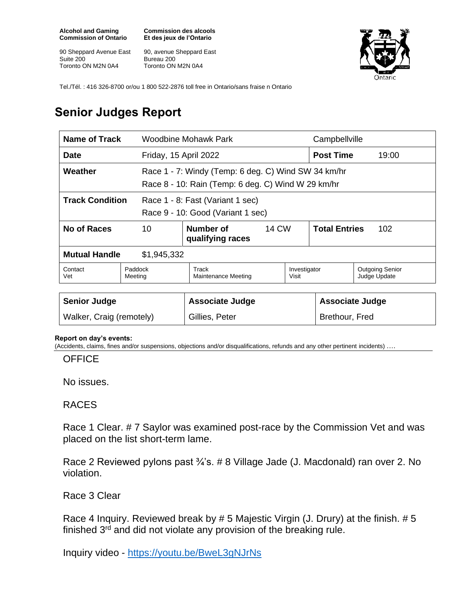**Alcohol and Gaming Commission of Ontario**

90 Sheppard Avenue East Suite 200 Toronto ON M2N 0A4

**Commission des alcools Et des jeux de l'Ontario**

90, avenue Sheppard East Bureau 200 Toronto ON M2N 0A4



Tel./Tél. : 416 326-8700 or/ou 1 800 522-2876 toll free in Ontario/sans fraise n Ontario

## **Senior Judges Report**

| Name of Track                                                                                   |                       | Woodbine Mohawk Park                                                                                      |              |              | Campbellville               |                                        |  |
|-------------------------------------------------------------------------------------------------|-----------------------|-----------------------------------------------------------------------------------------------------------|--------------|--------------|-----------------------------|----------------------------------------|--|
| <b>Date</b>                                                                                     | Friday, 15 April 2022 |                                                                                                           |              |              | <b>Post Time</b>            | 19:00                                  |  |
| Weather                                                                                         |                       | Race 1 - 7: Windy (Temp: 6 deg. C) Wind SW 34 km/hr<br>Race 8 - 10: Rain (Temp: 6 deg. C) Wind W 29 km/hr |              |              |                             |                                        |  |
| <b>Track Condition</b><br>Race 1 - 8: Fast (Variant 1 sec)<br>Race 9 - 10: Good (Variant 1 sec) |                       |                                                                                                           |              |              |                             |                                        |  |
| No of Races                                                                                     | 10                    | Number of<br>qualifying races                                                                             | <b>14 CW</b> |              | <b>Total Entries</b><br>102 |                                        |  |
| <b>Mutual Handle</b>                                                                            | \$1,945,332           |                                                                                                           |              |              |                             |                                        |  |
| Contact<br>Vet                                                                                  | Paddock<br>Meeting    | Track<br>Maintenance Meeting<br>Visit                                                                     |              | Investigator |                             | <b>Outgoing Senior</b><br>Judge Update |  |
|                                                                                                 |                       |                                                                                                           |              |              |                             |                                        |  |

| <b>Senior Judge</b>      | Associate Judge | <b>Associate Judge</b> |
|--------------------------|-----------------|------------------------|
| Walker, Craig (remotely) | Gillies, Peter  | Brethour, Fred         |

## **Report on day's events:**

(Accidents, claims, fines and/or suspensions, objections and/or disqualifications, refunds and any other pertinent incidents) ….

**OFFICE** 

No issues.

## RACES

Race 1 Clear. # 7 Saylor was examined post-race by the Commission Vet and was placed on the list short-term lame.

Race 2 Reviewed pylons past 3/4's. # 8 Village Jade (J. Macdonald) ran over 2. No violation.

Race 3 Clear

Race 4 Inquiry. Reviewed break by # 5 Majestic Virgin (J. Drury) at the finish. # 5 finished  $3^{rd}$  and did not violate any provision of the breaking rule.

Inquiry video - <https://youtu.be/BweL3gNJrNs>